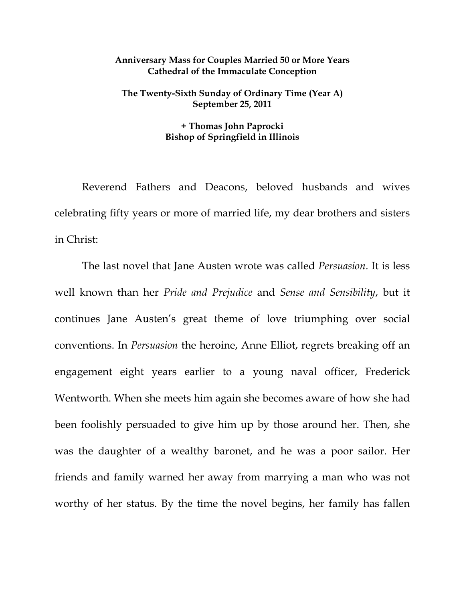## **Anniversary Mass for Couples Married 50 or More Years Cathedral of the Immaculate Conception**

## **The Twenty-Sixth Sunday of Ordinary Time (Year A) September 25, 2011**

## **+ Thomas John Paprocki Bishop of Springfield in Illinois**

 Reverend Fathers and Deacons, beloved husbands and wives celebrating fifty years or more of married life, my dear brothers and sisters in Christ:

The last novel that Jane Austen wrote was called *Persuasion*. It is less well known than her *Pride and Prejudice* and *Sense and Sensibility*, but it continues Jane Austen's great theme of love triumphing over social conventions. In *Persuasion* the heroine, Anne Elliot, regrets breaking off an engagement eight years earlier to a young naval officer, Frederick Wentworth. When she meets him again she becomes aware of how she had been foolishly persuaded to give him up by those around her. Then, she was the daughter of a wealthy baronet, and he was a poor sailor. Her friends and family warned her away from marrying a man who was not worthy of her status. By the time the novel begins, her family has fallen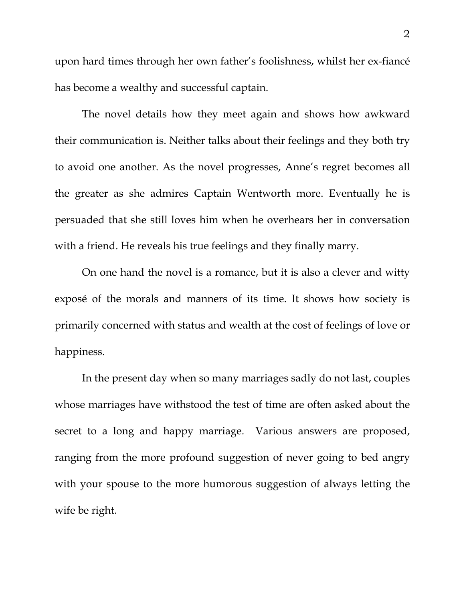upon hard times through her own father's foolishness, whilst her ex-fiancé has become a wealthy and successful captain.

The novel details how they meet again and shows how awkward their communication is. Neither talks about their feelings and they both try to avoid one another. As the novel progresses, Anne's regret becomes all the greater as she admires Captain Wentworth more. Eventually he is persuaded that she still loves him when he overhears her in conversation with a friend. He reveals his true feelings and they finally marry.

On one hand the novel is a romance, but it is also a clever and witty exposé of the morals and manners of its time. It shows how society is primarily concerned with status and wealth at the cost of feelings of love or happiness.

In the present day when so many marriages sadly do not last, couples whose marriages have withstood the test of time are often asked about the secret to a long and happy marriage. Various answers are proposed, ranging from the more profound suggestion of never going to bed angry with your spouse to the more humorous suggestion of always letting the wife be right.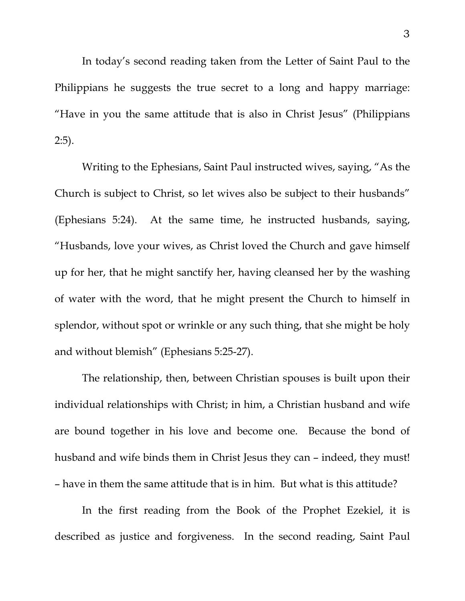In today's second reading taken from the Letter of Saint Paul to the Philippians he suggests the true secret to a long and happy marriage: "Have in you the same attitude that is also in Christ Jesus" (Philippians 2:5).

 Writing to the Ephesians, Saint Paul instructed wives, saying, "As the Church is subject to Christ, so let wives also be subject to their husbands" (Ephesians 5:24). At the same time, he instructed husbands, saying, "Husbands, love your wives, as Christ loved the Church and gave himself up for her, that he might sanctify her, having cleansed her by the washing of water with the word, that he might present the Church to himself in splendor, without spot or wrinkle or any such thing, that she might be holy and without blemish" (Ephesians 5:25-27).

 The relationship, then, between Christian spouses is built upon their individual relationships with Christ; in him, a Christian husband and wife are bound together in his love and become one. Because the bond of husband and wife binds them in Christ Jesus they can – indeed, they must! – have in them the same attitude that is in him. But what is this attitude?

 In the first reading from the Book of the Prophet Ezekiel, it is described as justice and forgiveness. In the second reading, Saint Paul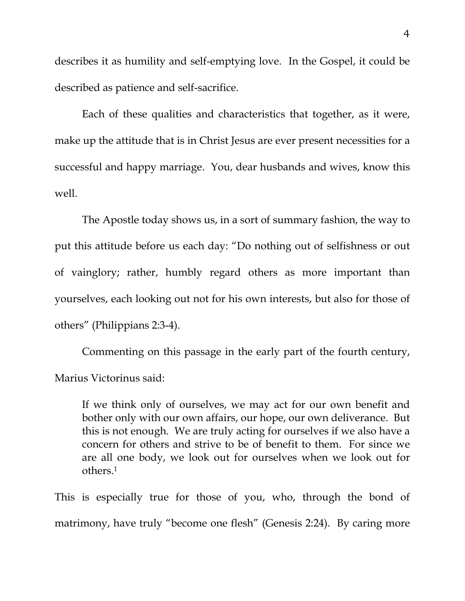describes it as humility and self-emptying love. In the Gospel, it could be described as patience and self-sacrifice.

 Each of these qualities and characteristics that together, as it were, make up the attitude that is in Christ Jesus are ever present necessities for a successful and happy marriage. You, dear husbands and wives, know this well.

 The Apostle today shows us, in a sort of summary fashion, the way to put this attitude before us each day: "Do nothing out of selfishness or out of vainglory; rather, humbly regard others as more important than yourselves, each looking out not for his own interests, but also for those of others" (Philippians 2:3-4).

 Commenting on this passage in the early part of the fourth century, Marius Victorinus said:

If we think only of ourselves, we may act for our own benefit and bother only with our own affairs, our hope, our own deliverance. But this is not enough. We are truly acting for ourselves if we also have a concern for others and strive to be of benefit to them. For since we are all one body, we look out for ourselves when we look out for others.1

This is especially true for those of you, who, through the bond of matrimony, have truly "become one flesh" (Genesis 2:24). By caring more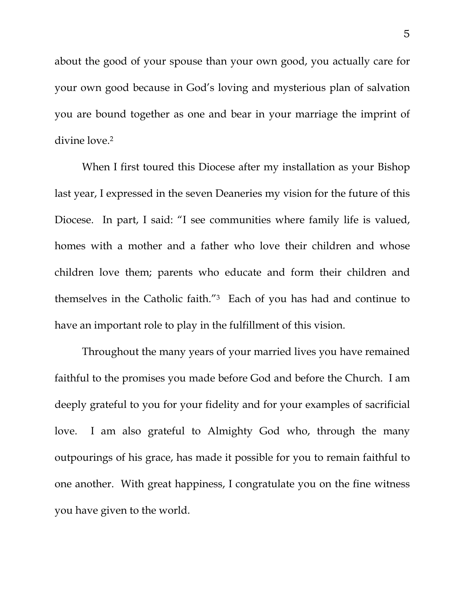about the good of your spouse than your own good, you actually care for your own good because in God's loving and mysterious plan of salvation you are bound together as one and bear in your marriage the imprint of divine love.2

When I first toured this Diocese after my installation as your Bishop last year, I expressed in the seven Deaneries my vision for the future of this Diocese. In part, I said: "I see communities where family life is valued, homes with a mother and a father who love their children and whose children love them; parents who educate and form their children and themselves in the Catholic faith."3 Each of you has had and continue to have an important role to play in the fulfillment of this vision.

 Throughout the many years of your married lives you have remained faithful to the promises you made before God and before the Church. I am deeply grateful to you for your fidelity and for your examples of sacrificial love. I am also grateful to Almighty God who, through the many outpourings of his grace, has made it possible for you to remain faithful to one another. With great happiness, I congratulate you on the fine witness you have given to the world.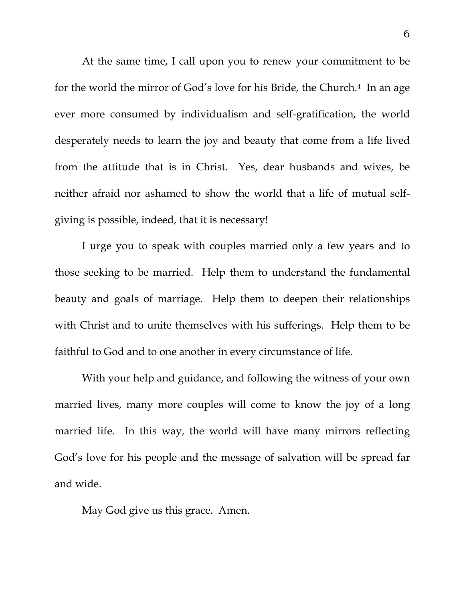At the same time, I call upon you to renew your commitment to be for the world the mirror of God's love for his Bride, the Church.<sup>4</sup> In an age ever more consumed by individualism and self-gratification, the world desperately needs to learn the joy and beauty that come from a life lived from the attitude that is in Christ. Yes, dear husbands and wives, be neither afraid nor ashamed to show the world that a life of mutual selfgiving is possible, indeed, that it is necessary!

 I urge you to speak with couples married only a few years and to those seeking to be married. Help them to understand the fundamental beauty and goals of marriage. Help them to deepen their relationships with Christ and to unite themselves with his sufferings. Help them to be faithful to God and to one another in every circumstance of life.

 With your help and guidance, and following the witness of your own married lives, many more couples will come to know the joy of a long married life. In this way, the world will have many mirrors reflecting God's love for his people and the message of salvation will be spread far and wide.

May God give us this grace. Amen.